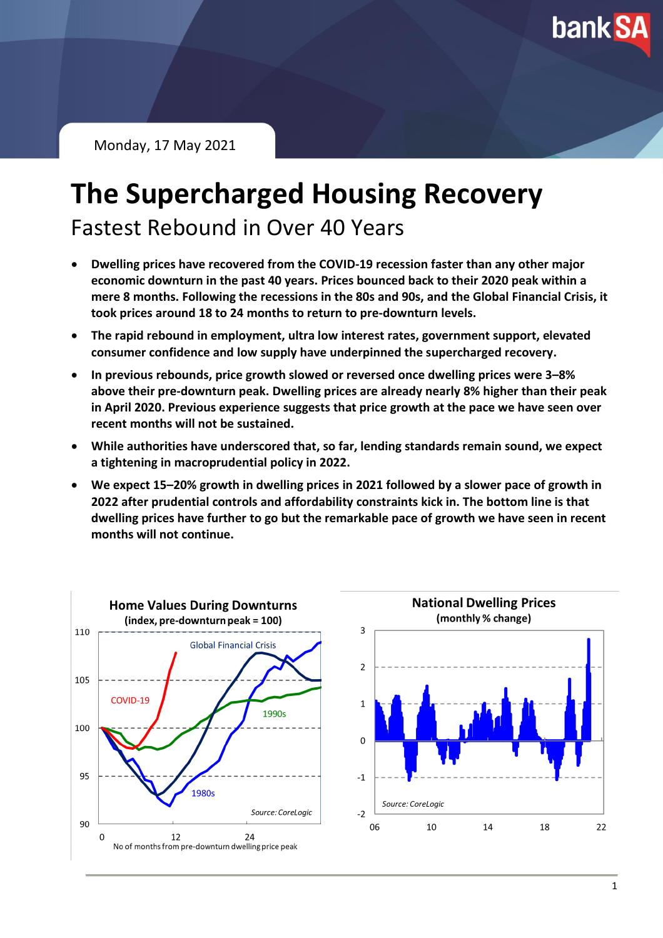**bank SA** 

Monday, 17 May 2021

# **The Supercharged Housing Recovery**

Fastest Rebound in Over 40 Years

- **Dwelling prices have recovered from the COVID-19 recession faster than any other major economic downturn in the past 40 years. Prices bounced back to their 2020 peak within a mere 8 months. Following the recessions in the 80s and 90s, and the Global Financial Crisis, it took prices around 18 to 24 months to return to pre-downturn levels.**
- **The rapid rebound in employment, ultra low interest rates, government support, elevated consumer confidence and low supply have underpinned the supercharged recovery.**
- **In previous rebounds, price growth slowed or reversed once dwelling prices were 3–8% above their pre-downturn peak. Dwelling prices are already nearly 8% higher than their peak in April 2020. Previous experience suggests that price growth at the pace we have seen over recent months will not be sustained.**
- **While authorities have underscored that, so far, lending standards remain sound, we expect a tightening in macroprudential policy in 2022.**
- **We expect 15–20% growth in dwelling prices in 2021 followed by a slower pace of growth in 2022 after prudential controls and affordability constraints kick in. The bottom line is that dwelling prices have further to go but the remarkable pace of growth we have seen in recent months will not continue.**



22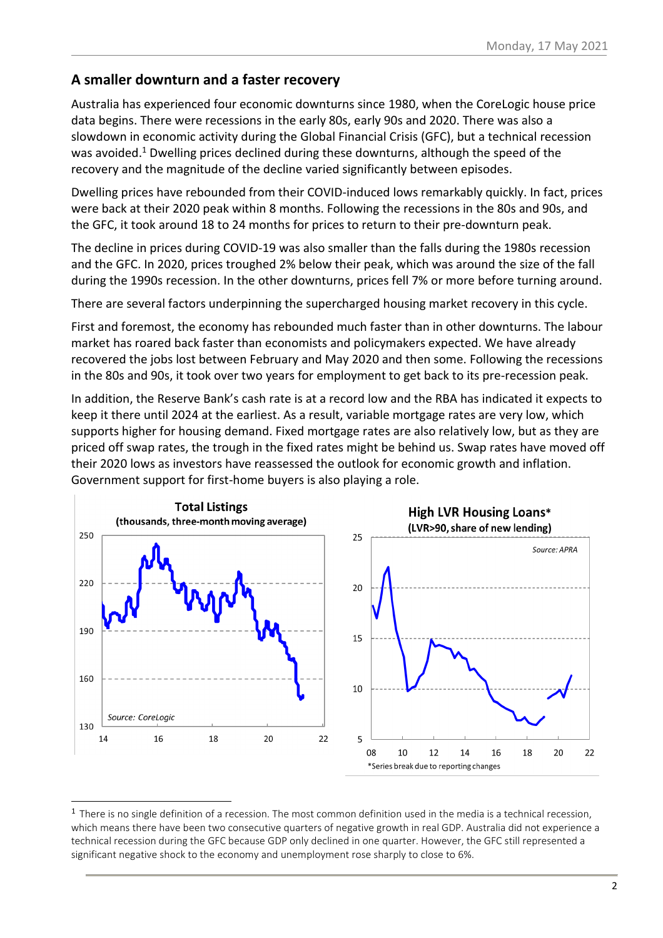#### **A smaller downturn and a faster recovery**

Australia has experienced four economic downturns since 1980, when the CoreLogic house price data begins. There were recessions in the early 80s, early 90s and 2020. There was also a slowdown in economic activity during the Global Financial Crisis (GFC), but a technical recession was avoided. <sup>1</sup> Dwelling prices declined during these downturns, although the speed of the recovery and the magnitude of the decline varied significantly between episodes.

Dwelling prices have rebounded from their COVID-induced lows remarkably quickly. In fact, prices were back at their 2020 peak within 8 months. Following the recessions in the 80s and 90s, and the GFC, it took around 18 to 24 months for prices to return to their pre-downturn peak.

The decline in prices during COVID-19 was also smaller than the falls during the 1980s recession and the GFC. In 2020, prices troughed 2% below their peak, which was around the size of the fall during the 1990s recession. In the other downturns, prices fell 7% or more before turning around.

There are several factors underpinning the supercharged housing market recovery in this cycle.

First and foremost, the economy has rebounded much faster than in other downturns. The labour market has roared back faster than economists and policymakers expected. We have already recovered the jobs lost between February and May 2020 and then some. Following the recessions in the 80s and 90s, it took over two years for employment to get back to its pre-recession peak.

In addition, the Reserve Bank's cash rate is at a record low and the RBA has indicated it expects to keep it there until 2024 at the earliest. As a result, variable mortgage rates are very low, which supports higher for housing demand. Fixed mortgage rates are also relatively low, but as they are priced off swap rates, the trough in the fixed rates might be behind us. Swap rates have moved off their 2020 lows as investors have reassessed the outlook for economic growth and inflation. Government support for first-home buyers is also playing a role.



 $1$  There is no single definition of a recession. The most common definition used in the media is a technical recession, which means there have been two consecutive quarters of negative growth in real GDP. Australia did not experience a technical recession during the GFC because GDP only declined in one quarter. However, the GFC still represented a significant negative shock to the economy and unemployment rose sharply to close to 6%.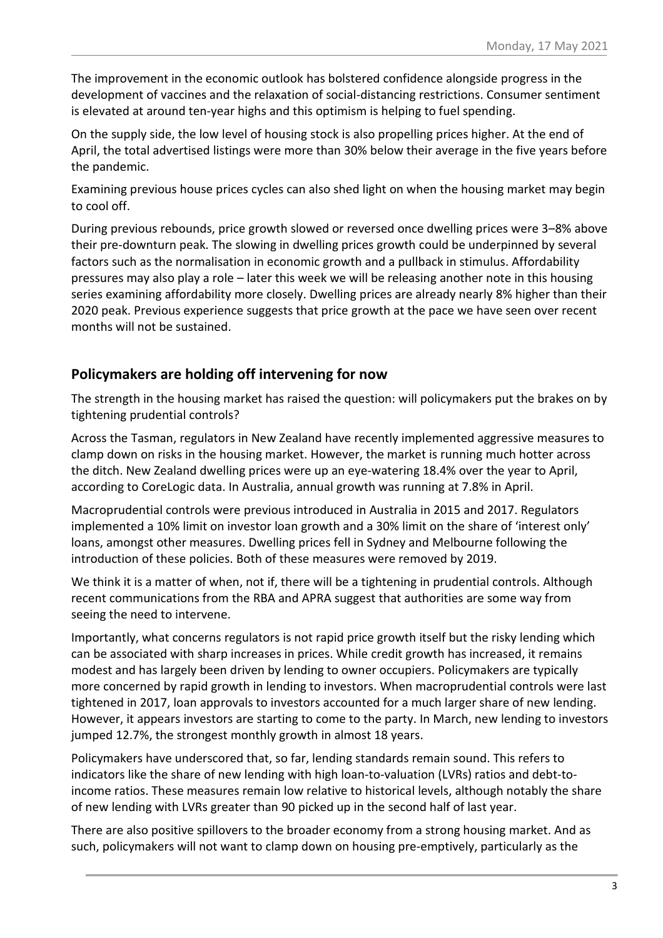The improvement in the economic outlook has bolstered confidence alongside progress in the development of vaccines and the relaxation of social-distancing restrictions. Consumer sentiment is elevated at around ten-year highs and this optimism is helping to fuel spending.

On the supply side, the low level of housing stock is also propelling prices higher. At the end of April, the total advertised listings were more than 30% below their average in the five years before the pandemic.

Examining previous house prices cycles can also shed light on when the housing market may begin to cool off.

During previous rebounds, price growth slowed or reversed once dwelling prices were 3–8% above their pre-downturn peak. The slowing in dwelling prices growth could be underpinned by several factors such as the normalisation in economic growth and a pullback in stimulus. Affordability pressures may also play a role – later this week we will be releasing another note in this housing series examining affordability more closely. Dwelling prices are already nearly 8% higher than their 2020 peak. Previous experience suggests that price growth at the pace we have seen over recent months will not be sustained.

### **Policymakers are holding off intervening for now**

The strength in the housing market has raised the question: will policymakers put the brakes on by tightening prudential controls?

Across the Tasman, regulators in New Zealand have recently implemented aggressive measures to clamp down on risks in the housing market. However, the market is running much hotter across the ditch. New Zealand dwelling prices were up an eye-watering 18.4% over the year to April, according to CoreLogic data. In Australia, annual growth was running at 7.8% in April.

Macroprudential controls were previous introduced in Australia in 2015 and 2017. Regulators implemented a 10% limit on investor loan growth and a 30% limit on the share of 'interest only' loans, amongst other measures. Dwelling prices fell in Sydney and Melbourne following the introduction of these policies. Both of these measures were removed by 2019.

We think it is a matter of when, not if, there will be a tightening in prudential controls. Although recent communications from the RBA and APRA suggest that authorities are some way from seeing the need to intervene.

Importantly, what concerns regulators is not rapid price growth itself but the risky lending which can be associated with sharp increases in prices. While credit growth has increased, it remains modest and has largely been driven by lending to owner occupiers. Policymakers are typically more concerned by rapid growth in lending to investors. When macroprudential controls were last tightened in 2017, loan approvals to investors accounted for a much larger share of new lending. However, it appears investors are starting to come to the party. In March, new lending to investors jumped 12.7%, the strongest monthly growth in almost 18 years.

Policymakers have underscored that, so far, lending standards remain sound. This refers to indicators like the share of new lending with high loan-to-valuation (LVRs) ratios and debt-toincome ratios. These measures remain low relative to historical levels, although notably the share of new lending with LVRs greater than 90 picked up in the second half of last year.

There are also positive spillovers to the broader economy from a strong housing market. And as such, policymakers will not want to clamp down on housing pre-emptively, particularly as the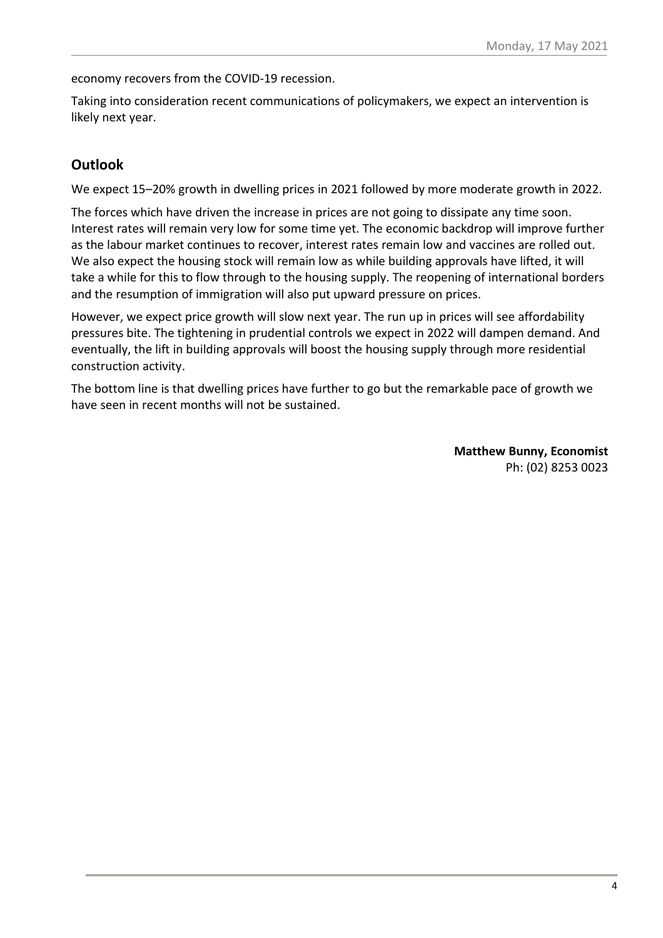economy recovers from the COVID-19 recession.

Taking into consideration recent communications of policymakers, we expect an intervention is likely next year.

#### **Outlook**

We expect 15–20% growth in dwelling prices in 2021 followed by more moderate growth in 2022.

The forces which have driven the increase in prices are not going to dissipate any time soon. Interest rates will remain very low for some time yet. The economic backdrop will improve further as the labour market continues to recover, interest rates remain low and vaccines are rolled out. We also expect the housing stock will remain low as while building approvals have lifted, it will take a while for this to flow through to the housing supply. The reopening of international borders and the resumption of immigration will also put upward pressure on prices.

However, we expect price growth will slow next year. The run up in prices will see affordability pressures bite. The tightening in prudential controls we expect in 2022 will dampen demand. And eventually, the lift in building approvals will boost the housing supply through more residential construction activity.

The bottom line is that dwelling prices have further to go but the remarkable pace of growth we have seen in recent months will not be sustained.

> **Matthew Bunny, Economist** Ph: (02) 8253 0023